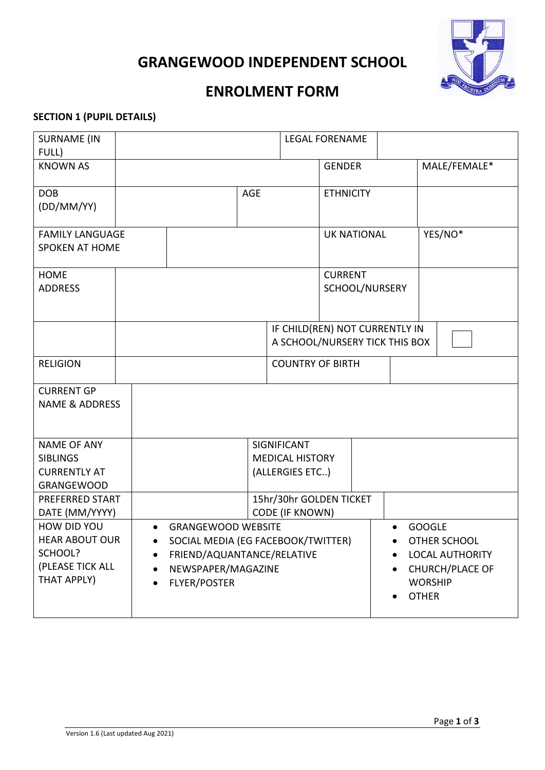



# **ENROLMENT FORM**

#### **SECTION 1 (PUPIL DETAILS)**

| <b>SURNAME (IN</b>                                    |  |                                |                                    |                    | <b>LEGAL FORENAME</b>          |                     |  |                        |
|-------------------------------------------------------|--|--------------------------------|------------------------------------|--------------------|--------------------------------|---------------------|--|------------------------|
| FULL)                                                 |  |                                |                                    |                    |                                |                     |  |                        |
| <b>KNOWN AS</b>                                       |  |                                |                                    |                    | <b>GENDER</b>                  |                     |  | MALE/FEMALE*           |
|                                                       |  |                                |                                    |                    |                                |                     |  |                        |
| <b>DOB</b>                                            |  |                                | <b>AGE</b>                         |                    | <b>ETHNICITY</b>               |                     |  |                        |
| (DD/MM/YY)                                            |  |                                |                                    |                    |                                |                     |  |                        |
|                                                       |  |                                |                                    |                    |                                |                     |  | YES/NO*                |
| <b>FAMILY LANGUAGE</b><br><b>SPOKEN AT HOME</b>       |  |                                |                                    | <b>UK NATIONAL</b> |                                |                     |  |                        |
|                                                       |  |                                |                                    |                    |                                |                     |  |                        |
| <b>HOME</b>                                           |  |                                |                                    |                    | <b>CURRENT</b>                 |                     |  |                        |
| <b>ADDRESS</b>                                        |  |                                |                                    |                    | SCHOOL/NURSERY                 |                     |  |                        |
|                                                       |  |                                |                                    |                    |                                |                     |  |                        |
|                                                       |  |                                |                                    |                    |                                |                     |  |                        |
|                                                       |  |                                |                                    |                    | IF CHILD(REN) NOT CURRENTLY IN |                     |  |                        |
|                                                       |  | A SCHOOL/NURSERY TICK THIS BOX |                                    |                    |                                |                     |  |                        |
| <b>RELIGION</b>                                       |  |                                |                                    |                    | <b>COUNTRY OF BIRTH</b>        |                     |  |                        |
|                                                       |  |                                |                                    |                    |                                |                     |  |                        |
| <b>CURRENT GP</b>                                     |  |                                |                                    |                    |                                |                     |  |                        |
| <b>NAME &amp; ADDRESS</b>                             |  |                                |                                    |                    |                                |                     |  |                        |
|                                                       |  |                                |                                    |                    |                                |                     |  |                        |
| <b>NAME OF ANY</b>                                    |  |                                |                                    | SIGNIFICANT        |                                |                     |  |                        |
| <b>SIBLINGS</b>                                       |  | <b>MEDICAL HISTORY</b>         |                                    |                    |                                |                     |  |                        |
| <b>CURRENTLY AT</b>                                   |  | (ALLERGIES ETC)                |                                    |                    |                                |                     |  |                        |
| <b>GRANGEWOOD</b>                                     |  |                                |                                    |                    |                                |                     |  |                        |
| PREFERRED START                                       |  | 15hr/30hr GOLDEN TICKET        |                                    |                    |                                |                     |  |                        |
| DATE (MM/YYYY)                                        |  | <b>CODE (IF KNOWN)</b>         |                                    |                    |                                |                     |  |                        |
| HOW DID YOU<br><b>GRANGEWOOD WEBSITE</b><br>$\bullet$ |  |                                |                                    |                    |                                | <b>GOOGLE</b>       |  |                        |
| <b>HEAR ABOUT OUR</b>                                 |  |                                | SOCIAL MEDIA (EG FACEBOOK/TWITTER) |                    |                                | <b>OTHER SCHOOL</b> |  |                        |
| SCHOOL?<br>$\bullet$                                  |  |                                | FRIEND/AQUANTANCE/RELATIVE         |                    |                                |                     |  | <b>LOCAL AUTHORITY</b> |
| (PLEASE TICK ALL<br>$\bullet$                         |  | NEWSPAPER/MAGAZINE             |                                    |                    | CHURCH/PLACE OF                |                     |  |                        |
| THAT APPLY)                                           |  | <b>FLYER/POSTER</b>            |                                    |                    | <b>WORSHIP</b>                 |                     |  |                        |
|                                                       |  |                                |                                    |                    |                                |                     |  | <b>OTHER</b>           |
|                                                       |  |                                |                                    |                    |                                |                     |  |                        |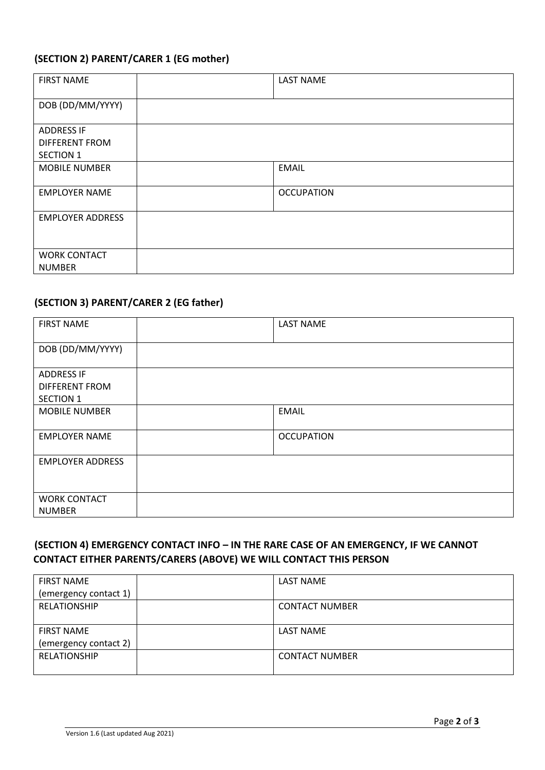### **(SECTION 2) PARENT/CARER 1 (EG mother)**

| <b>FIRST NAME</b>                    | <b>LAST NAME</b>  |
|--------------------------------------|-------------------|
| DOB (DD/MM/YYYY)                     |                   |
| <b>ADDRESS IF</b>                    |                   |
| <b>DIFFERENT FROM</b>                |                   |
| <b>SECTION 1</b>                     |                   |
| <b>MOBILE NUMBER</b>                 | <b>EMAIL</b>      |
| <b>EMPLOYER NAME</b>                 | <b>OCCUPATION</b> |
| <b>EMPLOYER ADDRESS</b>              |                   |
| <b>WORK CONTACT</b><br><b>NUMBER</b> |                   |

#### **(SECTION 3) PARENT/CARER 2 (EG father)**

| <b>FIRST NAME</b>       | <b>LAST NAME</b>  |
|-------------------------|-------------------|
| DOB (DD/MM/YYYY)        |                   |
| <b>ADDRESS IF</b>       |                   |
| <b>DIFFERENT FROM</b>   |                   |
| <b>SECTION 1</b>        |                   |
| <b>MOBILE NUMBER</b>    | <b>EMAIL</b>      |
| <b>EMPLOYER NAME</b>    | <b>OCCUPATION</b> |
| <b>EMPLOYER ADDRESS</b> |                   |
|                         |                   |
| <b>WORK CONTACT</b>     |                   |
| <b>NUMBER</b>           |                   |

#### **(SECTION 4) EMERGENCY CONTACT INFO – IN THE RARE CASE OF AN EMERGENCY, IF WE CANNOT CONTACT EITHER PARENTS/CARERS (ABOVE) WE WILL CONTACT THIS PERSON**

| <b>FIRST NAME</b>     | LAST NAME             |
|-----------------------|-----------------------|
| (emergency contact 1) |                       |
| <b>RELATIONSHIP</b>   | <b>CONTACT NUMBER</b> |
|                       |                       |
| <b>FIRST NAME</b>     | LAST NAME             |
| (emergency contact 2) |                       |
| <b>RELATIONSHIP</b>   | <b>CONTACT NUMBER</b> |
|                       |                       |